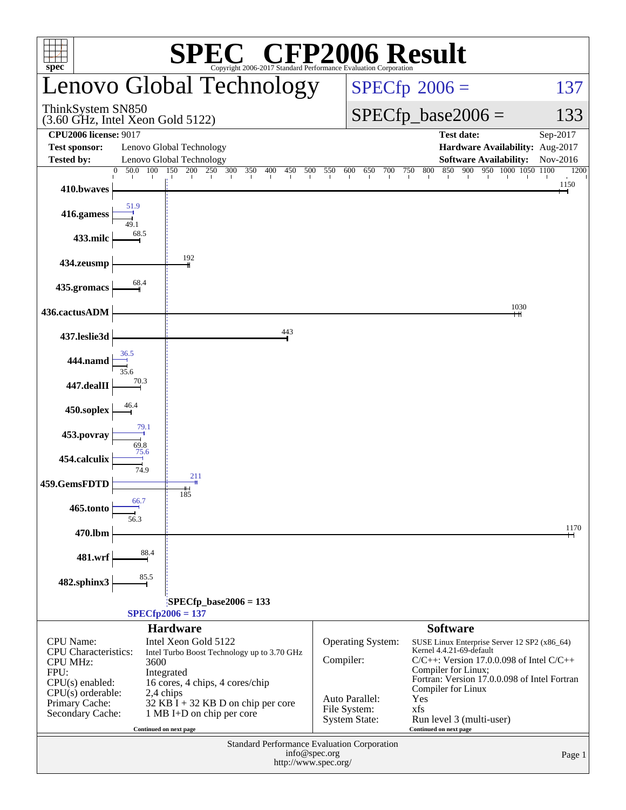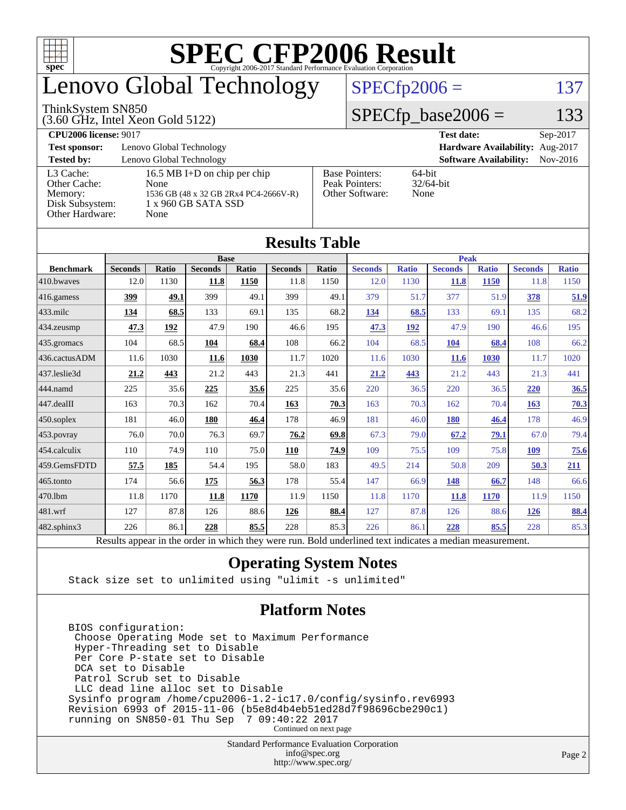

# enovo Global Technology

#### ThinkSystem SN850

(3.60 GHz, Intel Xeon Gold 5122)

#### $SPECfp2006 = 137$  $SPECfp2006 = 137$

#### $SPECfp\_base2006 = 133$

| <b>CPU2006 license: 9017</b>                                               |                                                                                                              |                                                            | <b>Test date:</b><br>$Sep-2017$             |  |  |  |
|----------------------------------------------------------------------------|--------------------------------------------------------------------------------------------------------------|------------------------------------------------------------|---------------------------------------------|--|--|--|
| <b>Test sponsor:</b>                                                       | Lenovo Global Technology                                                                                     | Hardware Availability: Aug-2017                            |                                             |  |  |  |
| <b>Tested by:</b>                                                          | Lenovo Global Technology                                                                                     |                                                            | <b>Software Availability:</b><br>$Nov-2016$ |  |  |  |
| L3 Cache:<br>Other Cache:<br>Memory:<br>Disk Subsystem:<br>Other Hardware: | 16.5 MB I+D on chip per chip<br>None<br>1536 GB (48 x 32 GB 2Rx4 PC4-2666V-R)<br>1 x 960 GB SATA SSD<br>None | <b>Base Pointers:</b><br>Peak Pointers:<br>Other Software: | $64$ -bit<br>$32/64$ -bit<br>None           |  |  |  |

| Results Tadie          |                                                                                                          |              |                |       |                |       |                |              |                |              |                |              |
|------------------------|----------------------------------------------------------------------------------------------------------|--------------|----------------|-------|----------------|-------|----------------|--------------|----------------|--------------|----------------|--------------|
|                        | <b>Base</b>                                                                                              |              |                |       |                |       | <b>Peak</b>    |              |                |              |                |              |
| <b>Benchmark</b>       | <b>Seconds</b>                                                                                           | <b>Ratio</b> | <b>Seconds</b> | Ratio | <b>Seconds</b> | Ratio | <b>Seconds</b> | <b>Ratio</b> | <b>Seconds</b> | <b>Ratio</b> | <b>Seconds</b> | <b>Ratio</b> |
| 410.bwaves             | 12.0                                                                                                     | 1130         | 11.8           | 1150  | 11.8           | 1150  | 12.0           | 1130         | 11.8           | 1150         | 11.8           | 1150         |
| $416$ .gamess          | 399                                                                                                      | 49.1         | 399            | 49.1  | 399            | 49.1  | 379            | 51.7         | 377            | 51.9         | 378            | 51.9         |
| $433$ .milc            | <u>134</u>                                                                                               | 68.5         | 133            | 69.1  | 135            | 68.2  | <u>134</u>     | 68.5         | 133            | 69.1         | 135            | 68.2         |
| $434$ . zeusmp         | 47.3                                                                                                     | 192          | 47.9           | 190   | 46.6           | 195   | 47.3           | 192          | 47.9           | 190          | 46.6           | 195          |
| $435.$ gromacs         | 104                                                                                                      | 68.5         | 104            | 68.4  | 108            | 66.2  | 104            | 68.5         | 104            | 68.4         | 108            | 66.2         |
| 436.cactusADM          | 11.6                                                                                                     | 1030         | 11.6           | 1030  | 11.7           | 1020  | 11.6           | 1030         | <b>11.6</b>    | 1030         | 11.7           | 1020         |
| 437.leslie3d           | 21.2                                                                                                     | 443          | 21.2           | 443   | 21.3           | 441   | 21.2           | 443          | 21.2           | 443          | 21.3           | 441          |
| 444.namd               | 225                                                                                                      | 35.6         | 225            | 35.6  | 225            | 35.6  | 220            | 36.5         | 220            | 36.5         | 220            | 36.5         |
| $ 447 \text{.}$ dealII | 163                                                                                                      | 70.3         | 162            | 70.4  | 163            | 70.3  | 163            | 70.3         | 162            | 70.4         | 163            | 70.3         |
| $450$ .soplex          | 181                                                                                                      | 46.0         | 180            | 46.4  | 178            | 46.9  | 181            | 46.0         | <b>180</b>     | 46.4         | 178            | 46.9         |
| $453$ .povray          | 76.0                                                                                                     | 70.0         | 76.3           | 69.7  | 76.2           | 69.8  | 67.3           | 79.0         | 67.2           | 79.1         | 67.0           | 79.4         |
| $454$ .calculix        | 110                                                                                                      | 74.9         | 110            | 75.0  | 110            | 74.9  | 109            | 75.5         | 109            | 75.8         | 109            | 75.6         |
| 459.GemsFDTD           | 57.5                                                                                                     | 185          | 54.4           | 195   | 58.0           | 183   | 49.5           | 214          | 50.8           | 209          | 50.3           | 211          |
| $ 465$ .tonto          | 174                                                                                                      | 56.6         | 175            | 56.3  | 178            | 55.4  | 147            | 66.9         | 148            | 66.7         | 148            | 66.6         |
| 470.1bm                | 11.8                                                                                                     | 1170         | 11.8           | 1170  | 11.9           | 1150  | 11.8           | 1170         | 11.8           | 1170         | 11.9           | 1150         |
| $ 481$ .wrf            | 127                                                                                                      | 87.8         | 126            | 88.6  | 126            | 88.4  | 127            | 87.8         | 126            | 88.6         | <u>126</u>     | 88.4         |
| 482.sphinx3            | 226                                                                                                      | 86.1         | 228            | 85.5  | 228            | 85.3  | 226            | 86.1         | 228            | 85.5         | 228            | 85.3         |
|                        | Results appear in the order in which they were run. Bold underlined text indicates a median measurement. |              |                |       |                |       |                |              |                |              |                |              |

#### **[Results Table](http://www.spec.org/auto/cpu2006/Docs/result-fields.html#ResultsTable)**

#### **[Operating System Notes](http://www.spec.org/auto/cpu2006/Docs/result-fields.html#OperatingSystemNotes)**

Stack size set to unlimited using "ulimit -s unlimited"

#### **[Platform Notes](http://www.spec.org/auto/cpu2006/Docs/result-fields.html#PlatformNotes)**

 BIOS configuration: Choose Operating Mode set to Maximum Performance Hyper-Threading set to Disable Per Core P-state set to Disable DCA set to Disable Patrol Scrub set to Disable LLC dead line alloc set to Disable Sysinfo program /home/cpu2006-1.2-ic17.0/config/sysinfo.rev6993 Revision 6993 of 2015-11-06 (b5e8d4b4eb51ed28d7f98696cbe290c1) running on SN850-01 Thu Sep 7 09:40:22 2017 Continued on next page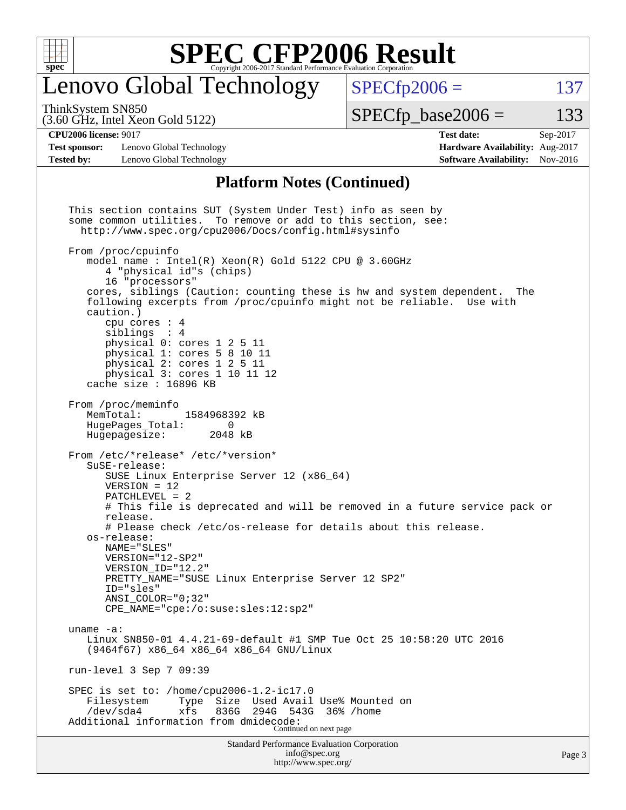

### enovo Global Technology

ThinkSystem SN850

(3.60 GHz, Intel Xeon Gold 5122)

 $SPECTp2006 = 137$ 

 $SPECTp\_base2006 = 133$ 

#### **[CPU2006 license:](http://www.spec.org/auto/cpu2006/Docs/result-fields.html#CPU2006license)** 9017 **[Test date:](http://www.spec.org/auto/cpu2006/Docs/result-fields.html#Testdate)** Sep-2017

**[Test sponsor:](http://www.spec.org/auto/cpu2006/Docs/result-fields.html#Testsponsor)** Lenovo Global Technology **[Hardware Availability:](http://www.spec.org/auto/cpu2006/Docs/result-fields.html#HardwareAvailability)** Aug-2017 **[Tested by:](http://www.spec.org/auto/cpu2006/Docs/result-fields.html#Testedby)** Lenovo Global Technology **[Software Availability:](http://www.spec.org/auto/cpu2006/Docs/result-fields.html#SoftwareAvailability)** Nov-2016

#### **[Platform Notes \(Continued\)](http://www.spec.org/auto/cpu2006/Docs/result-fields.html#PlatformNotes)**

Standard Performance Evaluation Corporation [info@spec.org](mailto:info@spec.org) This section contains SUT (System Under Test) info as seen by some common utilities. To remove or add to this section, see: <http://www.spec.org/cpu2006/Docs/config.html#sysinfo> From /proc/cpuinfo model name : Intel(R) Xeon(R) Gold 5122 CPU @ 3.60GHz 4 "physical id"s (chips) 16 "processors" cores, siblings (Caution: counting these is hw and system dependent. The following excerpts from /proc/cpuinfo might not be reliable. Use with caution.) cpu cores : 4 siblings : 4 physical 0: cores 1 2 5 11 physical 1: cores 5 8 10 11 physical 2: cores 1 2 5 11 physical 3: cores 1 10 11 12 cache size : 16896 KB From /proc/meminfo MemTotal: 1584968392 kB HugePages\_Total: 0 Hugepagesize: 2048 kB From /etc/\*release\* /etc/\*version\* SuSE-release: SUSE Linux Enterprise Server 12 (x86\_64) VERSION = 12 PATCHLEVEL = 2 # This file is deprecated and will be removed in a future service pack or release. # Please check /etc/os-release for details about this release. os-release: NAME="SLES" VERSION="12-SP2" VERSION\_ID="12.2" PRETTY\_NAME="SUSE Linux Enterprise Server 12 SP2" ID="sles" ANSI\_COLOR="0;32" CPE\_NAME="cpe:/o:suse:sles:12:sp2" uname -a: Linux SN850-01 4.4.21-69-default #1 SMP Tue Oct 25 10:58:20 UTC 2016 (9464f67) x86\_64 x86\_64 x86\_64 GNU/Linux run-level 3 Sep 7 09:39 SPEC is set to: /home/cpu2006-1.2-ic17.0<br>Filesystem Type Size Used Avail Used Avail Use% Mounted on /dev/sda4 xfs 836G 294G 543G 36% /home Additional information from dmidecode: Continued on next page

<http://www.spec.org/>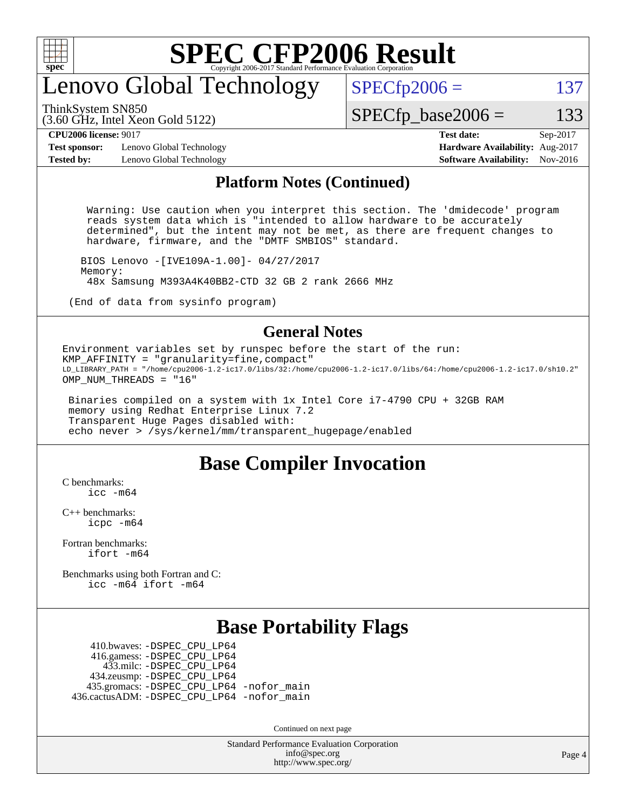

### enovo Global Technology

ThinkSystem SN850

(3.60 GHz, Intel Xeon Gold 5122)

 $SPECTp2006 = 137$ 

 $SPECTp\_base2006 = 133$ 

**[Test sponsor:](http://www.spec.org/auto/cpu2006/Docs/result-fields.html#Testsponsor)** Lenovo Global Technology **[Hardware Availability:](http://www.spec.org/auto/cpu2006/Docs/result-fields.html#HardwareAvailability)** Aug-2017 **[Tested by:](http://www.spec.org/auto/cpu2006/Docs/result-fields.html#Testedby)** Lenovo Global Technology **[Software Availability:](http://www.spec.org/auto/cpu2006/Docs/result-fields.html#SoftwareAvailability)** Nov-2016

**[CPU2006 license:](http://www.spec.org/auto/cpu2006/Docs/result-fields.html#CPU2006license)** 9017 **[Test date:](http://www.spec.org/auto/cpu2006/Docs/result-fields.html#Testdate)** Sep-2017

#### **[Platform Notes \(Continued\)](http://www.spec.org/auto/cpu2006/Docs/result-fields.html#PlatformNotes)**

 Warning: Use caution when you interpret this section. The 'dmidecode' program reads system data which is "intended to allow hardware to be accurately determined", but the intent may not be met, as there are frequent changes to hardware, firmware, and the "DMTF SMBIOS" standard.

 BIOS Lenovo -[IVE109A-1.00]- 04/27/2017 Memory: 48x Samsung M393A4K40BB2-CTD 32 GB 2 rank 2666 MHz

(End of data from sysinfo program)

#### **[General Notes](http://www.spec.org/auto/cpu2006/Docs/result-fields.html#GeneralNotes)**

Environment variables set by runspec before the start of the run: KMP\_AFFINITY = "granularity=fine,compact" LD\_LIBRARY\_PATH = "/home/cpu2006-1.2-ic17.0/libs/32:/home/cpu2006-1.2-ic17.0/libs/64:/home/cpu2006-1.2-ic17.0/sh10.2" OMP\_NUM\_THREADS = "16"

 Binaries compiled on a system with 1x Intel Core i7-4790 CPU + 32GB RAM memory using Redhat Enterprise Linux 7.2 Transparent Huge Pages disabled with: echo never > /sys/kernel/mm/transparent\_hugepage/enabled

### **[Base Compiler Invocation](http://www.spec.org/auto/cpu2006/Docs/result-fields.html#BaseCompilerInvocation)**

[C benchmarks](http://www.spec.org/auto/cpu2006/Docs/result-fields.html#Cbenchmarks):  $inc$   $-m64$ 

[C++ benchmarks:](http://www.spec.org/auto/cpu2006/Docs/result-fields.html#CXXbenchmarks) [icpc -m64](http://www.spec.org/cpu2006/results/res2017q4/cpu2006-20170918-50012.flags.html#user_CXXbase_intel_icpc_64bit_fc66a5337ce925472a5c54ad6a0de310)

[Fortran benchmarks](http://www.spec.org/auto/cpu2006/Docs/result-fields.html#Fortranbenchmarks): [ifort -m64](http://www.spec.org/cpu2006/results/res2017q4/cpu2006-20170918-50012.flags.html#user_FCbase_intel_ifort_64bit_ee9d0fb25645d0210d97eb0527dcc06e)

[Benchmarks using both Fortran and C](http://www.spec.org/auto/cpu2006/Docs/result-fields.html#BenchmarksusingbothFortranandC): [icc -m64](http://www.spec.org/cpu2006/results/res2017q4/cpu2006-20170918-50012.flags.html#user_CC_FCbase_intel_icc_64bit_bda6cc9af1fdbb0edc3795bac97ada53) [ifort -m64](http://www.spec.org/cpu2006/results/res2017q4/cpu2006-20170918-50012.flags.html#user_CC_FCbase_intel_ifort_64bit_ee9d0fb25645d0210d97eb0527dcc06e)

### **[Base Portability Flags](http://www.spec.org/auto/cpu2006/Docs/result-fields.html#BasePortabilityFlags)**

 410.bwaves: [-DSPEC\\_CPU\\_LP64](http://www.spec.org/cpu2006/results/res2017q4/cpu2006-20170918-50012.flags.html#suite_basePORTABILITY410_bwaves_DSPEC_CPU_LP64) 416.gamess: [-DSPEC\\_CPU\\_LP64](http://www.spec.org/cpu2006/results/res2017q4/cpu2006-20170918-50012.flags.html#suite_basePORTABILITY416_gamess_DSPEC_CPU_LP64) 433.milc: [-DSPEC\\_CPU\\_LP64](http://www.spec.org/cpu2006/results/res2017q4/cpu2006-20170918-50012.flags.html#suite_basePORTABILITY433_milc_DSPEC_CPU_LP64) 434.zeusmp: [-DSPEC\\_CPU\\_LP64](http://www.spec.org/cpu2006/results/res2017q4/cpu2006-20170918-50012.flags.html#suite_basePORTABILITY434_zeusmp_DSPEC_CPU_LP64) 435.gromacs: [-DSPEC\\_CPU\\_LP64](http://www.spec.org/cpu2006/results/res2017q4/cpu2006-20170918-50012.flags.html#suite_basePORTABILITY435_gromacs_DSPEC_CPU_LP64) [-nofor\\_main](http://www.spec.org/cpu2006/results/res2017q4/cpu2006-20170918-50012.flags.html#user_baseLDPORTABILITY435_gromacs_f-nofor_main) 436.cactusADM: [-DSPEC\\_CPU\\_LP64](http://www.spec.org/cpu2006/results/res2017q4/cpu2006-20170918-50012.flags.html#suite_basePORTABILITY436_cactusADM_DSPEC_CPU_LP64) [-nofor\\_main](http://www.spec.org/cpu2006/results/res2017q4/cpu2006-20170918-50012.flags.html#user_baseLDPORTABILITY436_cactusADM_f-nofor_main)

Continued on next page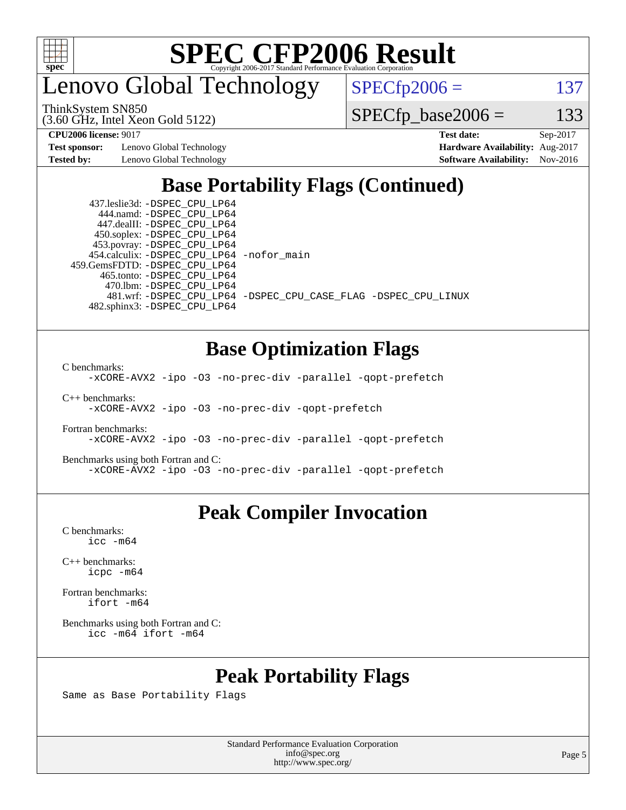

enovo Global Technology

 $SPECfp2006 = 137$  $SPECfp2006 = 137$ 

ThinkSystem SN850

(3.60 GHz, Intel Xeon Gold 5122)

**[Test sponsor:](http://www.spec.org/auto/cpu2006/Docs/result-fields.html#Testsponsor)** Lenovo Global Technology **[Hardware Availability:](http://www.spec.org/auto/cpu2006/Docs/result-fields.html#HardwareAvailability)** Aug-2017 **[Tested by:](http://www.spec.org/auto/cpu2006/Docs/result-fields.html#Testedby)** Lenovo Global Technology **[Software Availability:](http://www.spec.org/auto/cpu2006/Docs/result-fields.html#SoftwareAvailability)** Nov-2016

 $SPECTp\_base2006 = 133$ **[CPU2006 license:](http://www.spec.org/auto/cpu2006/Docs/result-fields.html#CPU2006license)** 9017 **[Test date:](http://www.spec.org/auto/cpu2006/Docs/result-fields.html#Testdate)** Sep-2017

## **[Base Portability Flags \(Continued\)](http://www.spec.org/auto/cpu2006/Docs/result-fields.html#BasePortabilityFlags)**

 437.leslie3d: [-DSPEC\\_CPU\\_LP64](http://www.spec.org/cpu2006/results/res2017q4/cpu2006-20170918-50012.flags.html#suite_basePORTABILITY437_leslie3d_DSPEC_CPU_LP64) 444.namd: [-DSPEC\\_CPU\\_LP64](http://www.spec.org/cpu2006/results/res2017q4/cpu2006-20170918-50012.flags.html#suite_basePORTABILITY444_namd_DSPEC_CPU_LP64) 447.dealII: [-DSPEC\\_CPU\\_LP64](http://www.spec.org/cpu2006/results/res2017q4/cpu2006-20170918-50012.flags.html#suite_basePORTABILITY447_dealII_DSPEC_CPU_LP64) 450.soplex: [-DSPEC\\_CPU\\_LP64](http://www.spec.org/cpu2006/results/res2017q4/cpu2006-20170918-50012.flags.html#suite_basePORTABILITY450_soplex_DSPEC_CPU_LP64) 453.povray: [-DSPEC\\_CPU\\_LP64](http://www.spec.org/cpu2006/results/res2017q4/cpu2006-20170918-50012.flags.html#suite_basePORTABILITY453_povray_DSPEC_CPU_LP64) 454.calculix: [-DSPEC\\_CPU\\_LP64](http://www.spec.org/cpu2006/results/res2017q4/cpu2006-20170918-50012.flags.html#suite_basePORTABILITY454_calculix_DSPEC_CPU_LP64) [-nofor\\_main](http://www.spec.org/cpu2006/results/res2017q4/cpu2006-20170918-50012.flags.html#user_baseLDPORTABILITY454_calculix_f-nofor_main) 459.GemsFDTD: [-DSPEC\\_CPU\\_LP64](http://www.spec.org/cpu2006/results/res2017q4/cpu2006-20170918-50012.flags.html#suite_basePORTABILITY459_GemsFDTD_DSPEC_CPU_LP64) 465.tonto: [-DSPEC\\_CPU\\_LP64](http://www.spec.org/cpu2006/results/res2017q4/cpu2006-20170918-50012.flags.html#suite_basePORTABILITY465_tonto_DSPEC_CPU_LP64) 470.lbm: [-DSPEC\\_CPU\\_LP64](http://www.spec.org/cpu2006/results/res2017q4/cpu2006-20170918-50012.flags.html#suite_basePORTABILITY470_lbm_DSPEC_CPU_LP64) 482.sphinx3: [-DSPEC\\_CPU\\_LP64](http://www.spec.org/cpu2006/results/res2017q4/cpu2006-20170918-50012.flags.html#suite_basePORTABILITY482_sphinx3_DSPEC_CPU_LP64)

481.wrf: [-DSPEC\\_CPU\\_LP64](http://www.spec.org/cpu2006/results/res2017q4/cpu2006-20170918-50012.flags.html#suite_basePORTABILITY481_wrf_DSPEC_CPU_LP64) [-DSPEC\\_CPU\\_CASE\\_FLAG](http://www.spec.org/cpu2006/results/res2017q4/cpu2006-20170918-50012.flags.html#b481.wrf_baseCPORTABILITY_DSPEC_CPU_CASE_FLAG) [-DSPEC\\_CPU\\_LINUX](http://www.spec.org/cpu2006/results/res2017q4/cpu2006-20170918-50012.flags.html#b481.wrf_baseCPORTABILITY_DSPEC_CPU_LINUX)

#### **[Base Optimization Flags](http://www.spec.org/auto/cpu2006/Docs/result-fields.html#BaseOptimizationFlags)**

[C benchmarks](http://www.spec.org/auto/cpu2006/Docs/result-fields.html#Cbenchmarks):

[-xCORE-AVX2](http://www.spec.org/cpu2006/results/res2017q4/cpu2006-20170918-50012.flags.html#user_CCbase_f-xCORE-AVX2) [-ipo](http://www.spec.org/cpu2006/results/res2017q4/cpu2006-20170918-50012.flags.html#user_CCbase_f-ipo) [-O3](http://www.spec.org/cpu2006/results/res2017q4/cpu2006-20170918-50012.flags.html#user_CCbase_f-O3) [-no-prec-div](http://www.spec.org/cpu2006/results/res2017q4/cpu2006-20170918-50012.flags.html#user_CCbase_f-no-prec-div) [-parallel](http://www.spec.org/cpu2006/results/res2017q4/cpu2006-20170918-50012.flags.html#user_CCbase_f-parallel) [-qopt-prefetch](http://www.spec.org/cpu2006/results/res2017q4/cpu2006-20170918-50012.flags.html#user_CCbase_f-qopt-prefetch)

[C++ benchmarks:](http://www.spec.org/auto/cpu2006/Docs/result-fields.html#CXXbenchmarks)

[-xCORE-AVX2](http://www.spec.org/cpu2006/results/res2017q4/cpu2006-20170918-50012.flags.html#user_CXXbase_f-xCORE-AVX2) [-ipo](http://www.spec.org/cpu2006/results/res2017q4/cpu2006-20170918-50012.flags.html#user_CXXbase_f-ipo) [-O3](http://www.spec.org/cpu2006/results/res2017q4/cpu2006-20170918-50012.flags.html#user_CXXbase_f-O3) [-no-prec-div](http://www.spec.org/cpu2006/results/res2017q4/cpu2006-20170918-50012.flags.html#user_CXXbase_f-no-prec-div) [-qopt-prefetch](http://www.spec.org/cpu2006/results/res2017q4/cpu2006-20170918-50012.flags.html#user_CXXbase_f-qopt-prefetch)

[Fortran benchmarks](http://www.spec.org/auto/cpu2006/Docs/result-fields.html#Fortranbenchmarks): [-xCORE-AVX2](http://www.spec.org/cpu2006/results/res2017q4/cpu2006-20170918-50012.flags.html#user_FCbase_f-xCORE-AVX2) [-ipo](http://www.spec.org/cpu2006/results/res2017q4/cpu2006-20170918-50012.flags.html#user_FCbase_f-ipo) [-O3](http://www.spec.org/cpu2006/results/res2017q4/cpu2006-20170918-50012.flags.html#user_FCbase_f-O3) [-no-prec-div](http://www.spec.org/cpu2006/results/res2017q4/cpu2006-20170918-50012.flags.html#user_FCbase_f-no-prec-div) [-parallel](http://www.spec.org/cpu2006/results/res2017q4/cpu2006-20170918-50012.flags.html#user_FCbase_f-parallel) [-qopt-prefetch](http://www.spec.org/cpu2006/results/res2017q4/cpu2006-20170918-50012.flags.html#user_FCbase_f-qopt-prefetch)

[Benchmarks using both Fortran and C](http://www.spec.org/auto/cpu2006/Docs/result-fields.html#BenchmarksusingbothFortranandC): [-xCORE-AVX2](http://www.spec.org/cpu2006/results/res2017q4/cpu2006-20170918-50012.flags.html#user_CC_FCbase_f-xCORE-AVX2) [-ipo](http://www.spec.org/cpu2006/results/res2017q4/cpu2006-20170918-50012.flags.html#user_CC_FCbase_f-ipo) [-O3](http://www.spec.org/cpu2006/results/res2017q4/cpu2006-20170918-50012.flags.html#user_CC_FCbase_f-O3) [-no-prec-div](http://www.spec.org/cpu2006/results/res2017q4/cpu2006-20170918-50012.flags.html#user_CC_FCbase_f-no-prec-div) [-parallel](http://www.spec.org/cpu2006/results/res2017q4/cpu2006-20170918-50012.flags.html#user_CC_FCbase_f-parallel) [-qopt-prefetch](http://www.spec.org/cpu2006/results/res2017q4/cpu2006-20170918-50012.flags.html#user_CC_FCbase_f-qopt-prefetch)

#### **[Peak Compiler Invocation](http://www.spec.org/auto/cpu2006/Docs/result-fields.html#PeakCompilerInvocation)**

[C benchmarks](http://www.spec.org/auto/cpu2006/Docs/result-fields.html#Cbenchmarks): [icc -m64](http://www.spec.org/cpu2006/results/res2017q4/cpu2006-20170918-50012.flags.html#user_CCpeak_intel_icc_64bit_bda6cc9af1fdbb0edc3795bac97ada53)

[C++ benchmarks:](http://www.spec.org/auto/cpu2006/Docs/result-fields.html#CXXbenchmarks) [icpc -m64](http://www.spec.org/cpu2006/results/res2017q4/cpu2006-20170918-50012.flags.html#user_CXXpeak_intel_icpc_64bit_fc66a5337ce925472a5c54ad6a0de310)

[Fortran benchmarks](http://www.spec.org/auto/cpu2006/Docs/result-fields.html#Fortranbenchmarks): [ifort -m64](http://www.spec.org/cpu2006/results/res2017q4/cpu2006-20170918-50012.flags.html#user_FCpeak_intel_ifort_64bit_ee9d0fb25645d0210d97eb0527dcc06e)

[Benchmarks using both Fortran and C](http://www.spec.org/auto/cpu2006/Docs/result-fields.html#BenchmarksusingbothFortranandC): [icc -m64](http://www.spec.org/cpu2006/results/res2017q4/cpu2006-20170918-50012.flags.html#user_CC_FCpeak_intel_icc_64bit_bda6cc9af1fdbb0edc3795bac97ada53) [ifort -m64](http://www.spec.org/cpu2006/results/res2017q4/cpu2006-20170918-50012.flags.html#user_CC_FCpeak_intel_ifort_64bit_ee9d0fb25645d0210d97eb0527dcc06e)

#### **[Peak Portability Flags](http://www.spec.org/auto/cpu2006/Docs/result-fields.html#PeakPortabilityFlags)**

Same as Base Portability Flags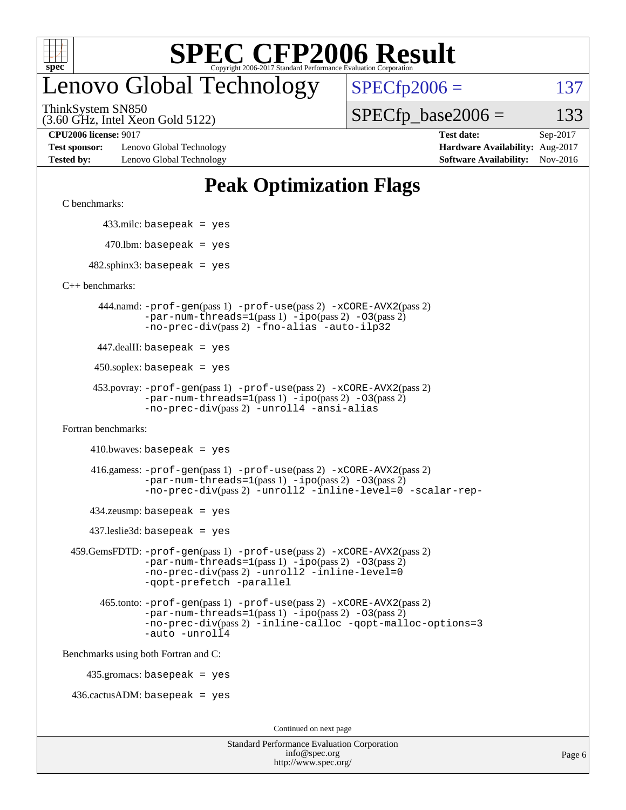

## enovo Global Technology

ThinkSystem SN850

(3.60 GHz, Intel Xeon Gold 5122)

 $SPECTp2006 = 137$ 

 $SPECTp\_base2006 = 133$ 

**[Test sponsor:](http://www.spec.org/auto/cpu2006/Docs/result-fields.html#Testsponsor)** Lenovo Global Technology **[Hardware Availability:](http://www.spec.org/auto/cpu2006/Docs/result-fields.html#HardwareAvailability)** Aug-2017 **[Tested by:](http://www.spec.org/auto/cpu2006/Docs/result-fields.html#Testedby)** Lenovo Global Technology **[Software Availability:](http://www.spec.org/auto/cpu2006/Docs/result-fields.html#SoftwareAvailability)** Nov-2016

**[CPU2006 license:](http://www.spec.org/auto/cpu2006/Docs/result-fields.html#CPU2006license)** 9017 **[Test date:](http://www.spec.org/auto/cpu2006/Docs/result-fields.html#Testdate)** Sep-2017

### **[Peak Optimization Flags](http://www.spec.org/auto/cpu2006/Docs/result-fields.html#PeakOptimizationFlags)**

[C benchmarks](http://www.spec.org/auto/cpu2006/Docs/result-fields.html#Cbenchmarks):

433.milc: basepeak = yes

 $470.$ lbm: basepeak = yes

 $482$ .sphinx3: basepeak = yes

[C++ benchmarks:](http://www.spec.org/auto/cpu2006/Docs/result-fields.html#CXXbenchmarks)

 444.namd: [-prof-gen](http://www.spec.org/cpu2006/results/res2017q4/cpu2006-20170918-50012.flags.html#user_peakPASS1_CXXFLAGSPASS1_LDFLAGS444_namd_prof_gen_e43856698f6ca7b7e442dfd80e94a8fc)(pass 1) [-prof-use](http://www.spec.org/cpu2006/results/res2017q4/cpu2006-20170918-50012.flags.html#user_peakPASS2_CXXFLAGSPASS2_LDFLAGS444_namd_prof_use_bccf7792157ff70d64e32fe3e1250b55)(pass 2) [-xCORE-AVX2](http://www.spec.org/cpu2006/results/res2017q4/cpu2006-20170918-50012.flags.html#user_peakPASS2_CXXFLAGSPASS2_LDFLAGS444_namd_f-xCORE-AVX2)(pass 2)  $-par-num-threads=1(pass 1) -ipo(pass 2) -O3(pass 2)$  $-par-num-threads=1(pass 1) -ipo(pass 2) -O3(pass 2)$  $-par-num-threads=1(pass 1) -ipo(pass 2) -O3(pass 2)$  $-par-num-threads=1(pass 1) -ipo(pass 2) -O3(pass 2)$  $-par-num-threads=1(pass 1) -ipo(pass 2) -O3(pass 2)$  $-par-num-threads=1(pass 1) -ipo(pass 2) -O3(pass 2)$ [-no-prec-div](http://www.spec.org/cpu2006/results/res2017q4/cpu2006-20170918-50012.flags.html#user_peakPASS2_CXXFLAGSPASS2_LDFLAGS444_namd_f-no-prec-div)(pass 2) [-fno-alias](http://www.spec.org/cpu2006/results/res2017q4/cpu2006-20170918-50012.flags.html#user_peakCXXOPTIMIZEOPTIMIZE444_namd_f-no-alias_694e77f6c5a51e658e82ccff53a9e63a) [-auto-ilp32](http://www.spec.org/cpu2006/results/res2017q4/cpu2006-20170918-50012.flags.html#user_peakCXXOPTIMIZE444_namd_f-auto-ilp32)

447.dealII: basepeak = yes

 $450$ .soplex: basepeak = yes

```
 453.povray: -prof-gen(pass 1) -prof-use(pass 2) -xCORE-AVX2(pass 2)
-par-num-threads=1-ipo-O3(pass 2)-no-prec-div(pass 2) -unroll4 -ansi-alias
```
[Fortran benchmarks](http://www.spec.org/auto/cpu2006/Docs/result-fields.html#Fortranbenchmarks):

 $410.bwaves: basepeak = yes$ 

 416.gamess: [-prof-gen](http://www.spec.org/cpu2006/results/res2017q4/cpu2006-20170918-50012.flags.html#user_peakPASS1_FFLAGSPASS1_LDFLAGS416_gamess_prof_gen_e43856698f6ca7b7e442dfd80e94a8fc)(pass 1) [-prof-use](http://www.spec.org/cpu2006/results/res2017q4/cpu2006-20170918-50012.flags.html#user_peakPASS2_FFLAGSPASS2_LDFLAGS416_gamess_prof_use_bccf7792157ff70d64e32fe3e1250b55)(pass 2) [-xCORE-AVX2](http://www.spec.org/cpu2006/results/res2017q4/cpu2006-20170918-50012.flags.html#user_peakPASS2_FFLAGSPASS2_LDFLAGS416_gamess_f-xCORE-AVX2)(pass 2)  $-par-num-threads=1(pass 1) -ipo(pass 2) -O3(pass 2)$  $-par-num-threads=1(pass 1) -ipo(pass 2) -O3(pass 2)$  $-par-num-threads=1(pass 1) -ipo(pass 2) -O3(pass 2)$  $-par-num-threads=1(pass 1) -ipo(pass 2) -O3(pass 2)$  $-par-num-threads=1(pass 1) -ipo(pass 2) -O3(pass 2)$  $-par-num-threads=1(pass 1) -ipo(pass 2) -O3(pass 2)$ [-no-prec-div](http://www.spec.org/cpu2006/results/res2017q4/cpu2006-20170918-50012.flags.html#user_peakPASS2_FFLAGSPASS2_LDFLAGS416_gamess_f-no-prec-div)(pass 2) [-unroll2](http://www.spec.org/cpu2006/results/res2017q4/cpu2006-20170918-50012.flags.html#user_peakOPTIMIZE416_gamess_f-unroll_784dae83bebfb236979b41d2422d7ec2) [-inline-level=0](http://www.spec.org/cpu2006/results/res2017q4/cpu2006-20170918-50012.flags.html#user_peakOPTIMIZE416_gamess_f-inline-level_318d07a09274ad25e8d15dbfaa68ba50) [-scalar-rep-](http://www.spec.org/cpu2006/results/res2017q4/cpu2006-20170918-50012.flags.html#user_peakOPTIMIZE416_gamess_f-disablescalarrep_abbcad04450fb118e4809c81d83c8a1d)

 $434$ .zeusmp: basepeak = yes

437.leslie3d: basepeak = yes

```
 459.GemsFDTD: -prof-gen(pass 1) -prof-use(pass 2) -xCORE-AVX2(pass 2)
   -par-num-threads=1-ipo-O3(pass 2)-no-prec-div(pass 2) -unroll2 -inline-level=0
   -qopt-prefetch -parallel
```
 465.tonto: [-prof-gen](http://www.spec.org/cpu2006/results/res2017q4/cpu2006-20170918-50012.flags.html#user_peakPASS1_FFLAGSPASS1_LDFLAGS465_tonto_prof_gen_e43856698f6ca7b7e442dfd80e94a8fc)(pass 1) [-prof-use](http://www.spec.org/cpu2006/results/res2017q4/cpu2006-20170918-50012.flags.html#user_peakPASS2_FFLAGSPASS2_LDFLAGS465_tonto_prof_use_bccf7792157ff70d64e32fe3e1250b55)(pass 2) [-xCORE-AVX2](http://www.spec.org/cpu2006/results/res2017q4/cpu2006-20170918-50012.flags.html#user_peakPASS2_FFLAGSPASS2_LDFLAGS465_tonto_f-xCORE-AVX2)(pass 2)  $-par-num-threads=1(pass 1) -ipo(pass 2) -O3(pass 2)$  $-par-num-threads=1(pass 1) -ipo(pass 2) -O3(pass 2)$  $-par-num-threads=1(pass 1) -ipo(pass 2) -O3(pass 2)$  $-par-num-threads=1(pass 1) -ipo(pass 2) -O3(pass 2)$  $-par-num-threads=1(pass 1) -ipo(pass 2) -O3(pass 2)$  $-par-num-threads=1(pass 1) -ipo(pass 2) -O3(pass 2)$ [-no-prec-div](http://www.spec.org/cpu2006/results/res2017q4/cpu2006-20170918-50012.flags.html#user_peakPASS2_FFLAGSPASS2_LDFLAGS465_tonto_f-no-prec-div)(pass 2) [-inline-calloc](http://www.spec.org/cpu2006/results/res2017q4/cpu2006-20170918-50012.flags.html#user_peakOPTIMIZE465_tonto_f-inline-calloc) [-qopt-malloc-options=3](http://www.spec.org/cpu2006/results/res2017q4/cpu2006-20170918-50012.flags.html#user_peakOPTIMIZE465_tonto_f-qopt-malloc-options_0fcb435012e78f27d57f473818e45fe4) [-auto](http://www.spec.org/cpu2006/results/res2017q4/cpu2006-20170918-50012.flags.html#user_peakOPTIMIZE465_tonto_f-auto) [-unroll4](http://www.spec.org/cpu2006/results/res2017q4/cpu2006-20170918-50012.flags.html#user_peakOPTIMIZE465_tonto_f-unroll_4e5e4ed65b7fd20bdcd365bec371b81f)

[Benchmarks using both Fortran and C](http://www.spec.org/auto/cpu2006/Docs/result-fields.html#BenchmarksusingbothFortranandC):

435.gromacs: basepeak = yes

 $436.cactusADM:basepeak = yes$ 

Continued on next page

| <b>Standard Performance Evaluation Corporation</b> |
|----------------------------------------------------|
| info@spec.org                                      |
| http://www.spec.org/                               |